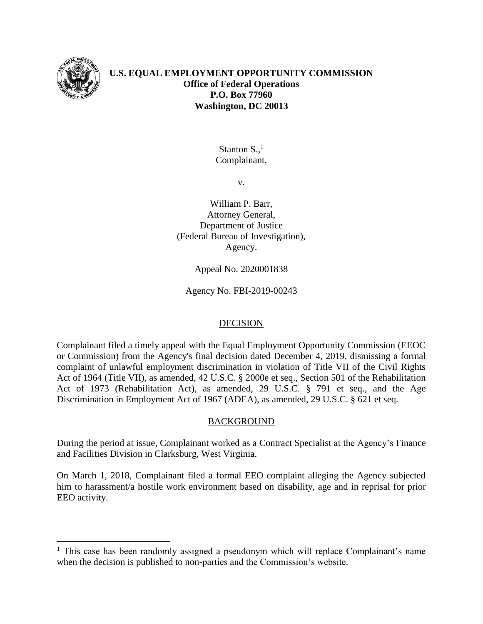

 $\overline{a}$ 

# **U.S. EQUAL EMPLOYMENT OPPORTUNITY COMMISSION Office of Federal Operations P.O. Box 77960 Washington, DC 20013**

Stanton  $S<sub>1</sub><sup>1</sup>$ Complainant,

v.

William P. Barr, Attorney General, Department of Justice (Federal Bureau of Investigation), Agency.

Appeal No. 2020001838

Agency No. FBI-2019-00243

## DECISION

Complainant filed a timely appeal with the Equal Employment Opportunity Commission (EEOC or Commission) from the Agency's final decision dated December 4, 2019, dismissing a formal complaint of unlawful employment discrimination in violation of Title VII of the Civil Rights Act of 1964 (Title VII), as amended, 42 U.S.C. § 2000e et seq., Section 501 of the Rehabilitation Act of 1973 (Rehabilitation Act), as amended, 29 U.S.C. § 791 et seq., and the Age Discrimination in Employment Act of 1967 (ADEA), as amended, 29 U.S.C. § 621 et seq.

## BACKGROUND

During the period at issue, Complainant worked as a Contract Specialist at the Agency's Finance and Facilities Division in Clarksburg, West Virginia.

On March 1, 2018, Complainant filed a formal EEO complaint alleging the Agency subjected him to harassment/a hostile work environment based on disability, age and in reprisal for prior EEO activity.

<sup>&</sup>lt;sup>1</sup> This case has been randomly assigned a pseudonym which will replace Complainant's name when the decision is published to non-parties and the Commission's website.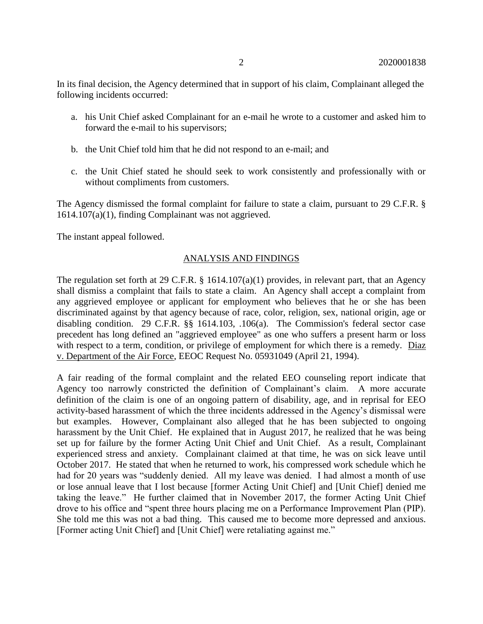In its final decision, the Agency determined that in support of his claim, Complainant alleged the following incidents occurred:

- a. his Unit Chief asked Complainant for an e-mail he wrote to a customer and asked him to forward the e-mail to his supervisors;
- b. the Unit Chief told him that he did not respond to an e-mail; and
- c. the Unit Chief stated he should seek to work consistently and professionally with or without compliments from customers.

The Agency dismissed the formal complaint for failure to state a claim, pursuant to 29 C.F.R. § 1614.107(a)(1), finding Complainant was not aggrieved.

The instant appeal followed.

## ANALYSIS AND FINDINGS

The regulation set forth at 29 C.F.R. § 1614.107(a)(1) provides, in relevant part, that an Agency shall dismiss a complaint that fails to state a claim. An Agency shall accept a complaint from any aggrieved employee or applicant for employment who believes that he or she has been discriminated against by that agency because of race, color, religion, sex, national origin, age or disabling condition. 29 C.F.R. §§ 1614.103, .106(a). The Commission's federal sector case precedent has long defined an "aggrieved employee" as one who suffers a present harm or loss with respect to a term, condition, or privilege of employment for which there is a remedy. Diaz v. Department of the Air Force, EEOC Request No. 05931049 (April 21, 1994).

A fair reading of the formal complaint and the related EEO counseling report indicate that Agency too narrowly constricted the definition of Complainant's claim. A more accurate definition of the claim is one of an ongoing pattern of disability, age, and in reprisal for EEO activity-based harassment of which the three incidents addressed in the Agency's dismissal were but examples. However, Complainant also alleged that he has been subjected to ongoing harassment by the Unit Chief. He explained that in August 2017, he realized that he was being set up for failure by the former Acting Unit Chief and Unit Chief. As a result, Complainant experienced stress and anxiety. Complainant claimed at that time, he was on sick leave until October 2017. He stated that when he returned to work, his compressed work schedule which he had for 20 years was "suddenly denied. All my leave was denied. I had almost a month of use or lose annual leave that I lost because [former Acting Unit Chief] and [Unit Chief] denied me taking the leave." He further claimed that in November 2017, the former Acting Unit Chief drove to his office and "spent three hours placing me on a Performance Improvement Plan (PIP). She told me this was not a bad thing. This caused me to become more depressed and anxious. [Former acting Unit Chief] and [Unit Chief] were retaliating against me."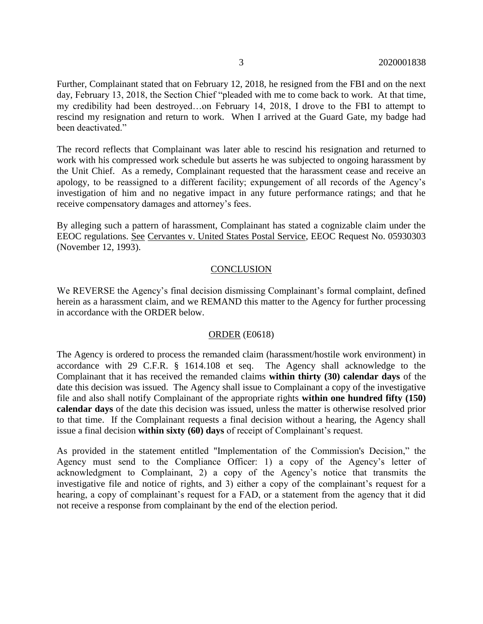Further, Complainant stated that on February 12, 2018, he resigned from the FBI and on the next day, February 13, 2018, the Section Chief "pleaded with me to come back to work. At that time, my credibility had been destroyed…on February 14, 2018, I drove to the FBI to attempt to rescind my resignation and return to work. When I arrived at the Guard Gate, my badge had been deactivated."

The record reflects that Complainant was later able to rescind his resignation and returned to work with his compressed work schedule but asserts he was subjected to ongoing harassment by the Unit Chief. As a remedy, Complainant requested that the harassment cease and receive an apology, to be reassigned to a different facility; expungement of all records of the Agency's investigation of him and no negative impact in any future performance ratings; and that he receive compensatory damages and attorney's fees.

By alleging such a pattern of harassment, Complainant has stated a cognizable claim under the EEOC regulations. See Cervantes v. United States Postal Service, EEOC Request No. 05930303 (November 12, 1993).

#### **CONCLUSION**

We REVERSE the Agency's final decision dismissing Complainant's formal complaint, defined herein as a harassment claim, and we REMAND this matter to the Agency for further processing in accordance with the ORDER below.

#### ORDER (E0618)

The Agency is ordered to process the remanded claim (harassment/hostile work environment) in accordance with 29 C.F.R. § 1614.108 et seq. The Agency shall acknowledge to the Complainant that it has received the remanded claims **within thirty (30) calendar days** of the date this decision was issued. The Agency shall issue to Complainant a copy of the investigative file and also shall notify Complainant of the appropriate rights **within one hundred fifty (150) calendar days** of the date this decision was issued, unless the matter is otherwise resolved prior to that time. If the Complainant requests a final decision without a hearing, the Agency shall issue a final decision **within sixty (60) days** of receipt of Complainant's request.

As provided in the statement entitled "Implementation of the Commission's Decision," the Agency must send to the Compliance Officer: 1) a copy of the Agency's letter of acknowledgment to Complainant, 2) a copy of the Agency's notice that transmits the investigative file and notice of rights, and 3) either a copy of the complainant's request for a hearing, a copy of complainant's request for a FAD, or a statement from the agency that it did not receive a response from complainant by the end of the election period.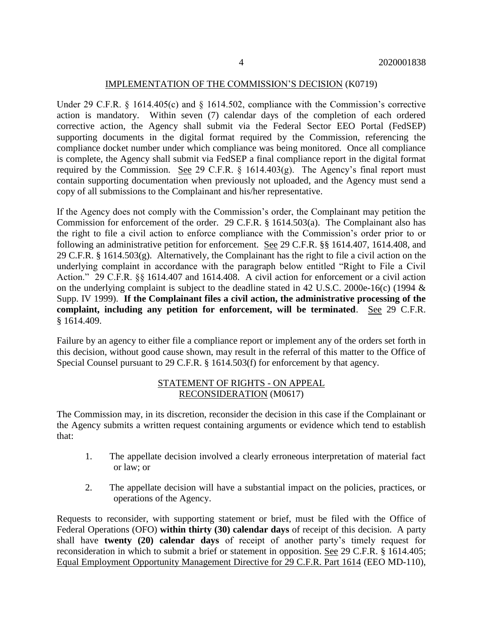#### IMPLEMENTATION OF THE COMMISSION'S DECISION (K0719)

Under 29 C.F.R. § 1614.405(c) and § 1614.502, compliance with the Commission's corrective action is mandatory. Within seven (7) calendar days of the completion of each ordered corrective action, the Agency shall submit via the Federal Sector EEO Portal (FedSEP) supporting documents in the digital format required by the Commission, referencing the compliance docket number under which compliance was being monitored. Once all compliance is complete, the Agency shall submit via FedSEP a final compliance report in the digital format required by the Commission. See 29 C.F.R.  $\S$  1614.403(g). The Agency's final report must contain supporting documentation when previously not uploaded, and the Agency must send a copy of all submissions to the Complainant and his/her representative.

If the Agency does not comply with the Commission's order, the Complainant may petition the Commission for enforcement of the order. 29 C.F.R. § 1614.503(a). The Complainant also has the right to file a civil action to enforce compliance with the Commission's order prior to or following an administrative petition for enforcement. See 29 C.F.R. §§ 1614.407, 1614.408, and 29 C.F.R. § 1614.503(g). Alternatively, the Complainant has the right to file a civil action on the underlying complaint in accordance with the paragraph below entitled "Right to File a Civil Action." 29 C.F.R. §§ 1614.407 and 1614.408. A civil action for enforcement or a civil action on the underlying complaint is subject to the deadline stated in 42 U.S.C. 2000e-16(c) (1994 & Supp. IV 1999). **If the Complainant files a civil action, the administrative processing of the complaint, including any petition for enforcement, will be terminated**. See 29 C.F.R. § 1614.409.

Failure by an agency to either file a compliance report or implement any of the orders set forth in this decision, without good cause shown, may result in the referral of this matter to the Office of Special Counsel pursuant to 29 C.F.R. § 1614.503(f) for enforcement by that agency.

## STATEMENT OF RIGHTS - ON APPEAL RECONSIDERATION (M0617)

The Commission may, in its discretion, reconsider the decision in this case if the Complainant or the Agency submits a written request containing arguments or evidence which tend to establish that:

- 1. The appellate decision involved a clearly erroneous interpretation of material fact or law; or
- 2. The appellate decision will have a substantial impact on the policies, practices, or operations of the Agency.

Requests to reconsider, with supporting statement or brief, must be filed with the Office of Federal Operations (OFO) **within thirty (30) calendar days** of receipt of this decision. A party shall have **twenty (20) calendar days** of receipt of another party's timely request for reconsideration in which to submit a brief or statement in opposition. See 29 C.F.R. § 1614.405; Equal Employment Opportunity Management Directive for 29 C.F.R. Part 1614 (EEO MD-110),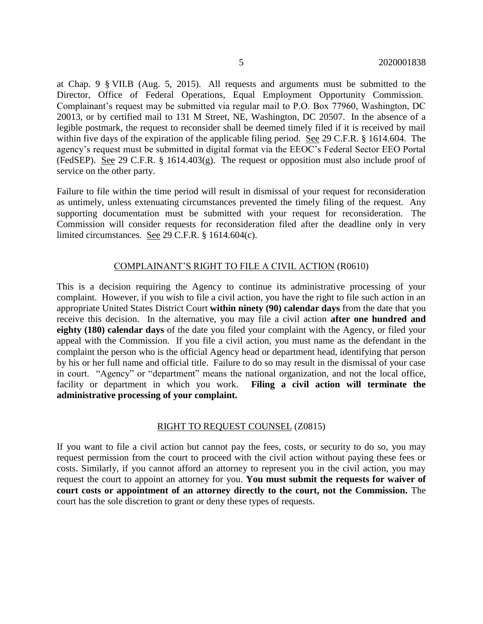at Chap. 9 § VII.B (Aug. 5, 2015). All requests and arguments must be submitted to the Director, Office of Federal Operations, Equal Employment Opportunity Commission. Complainant's request may be submitted via regular mail to P.O. Box 77960, Washington, DC 20013, or by certified mail to 131 M Street, NE, Washington, DC 20507. In the absence of a legible postmark, the request to reconsider shall be deemed timely filed if it is received by mail within five days of the expiration of the applicable filing period. See 29 C.F.R. § 1614.604. The agency's request must be submitted in digital format via the EEOC's Federal Sector EEO Portal (FedSEP). See 29 C.F.R. § 1614.403(g). The request or opposition must also include proof of service on the other party.

Failure to file within the time period will result in dismissal of your request for reconsideration as untimely, unless extenuating circumstances prevented the timely filing of the request. Any supporting documentation must be submitted with your request for reconsideration. The Commission will consider requests for reconsideration filed after the deadline only in very limited circumstances. See 29 C.F.R. § 1614.604(c).

#### COMPLAINANT'S RIGHT TO FILE A CIVIL ACTION (R0610)

This is a decision requiring the Agency to continue its administrative processing of your complaint. However, if you wish to file a civil action, you have the right to file such action in an appropriate United States District Court **within ninety (90) calendar days** from the date that you receive this decision. In the alternative, you may file a civil action **after one hundred and eighty (180) calendar days** of the date you filed your complaint with the Agency, or filed your appeal with the Commission. If you file a civil action, you must name as the defendant in the complaint the person who is the official Agency head or department head, identifying that person by his or her full name and official title. Failure to do so may result in the dismissal of your case in court. "Agency" or "department" means the national organization, and not the local office, facility or department in which you work. **Filing a civil action will terminate the administrative processing of your complaint.**

#### RIGHT TO REQUEST COUNSEL (Z0815)

If you want to file a civil action but cannot pay the fees, costs, or security to do so, you may request permission from the court to proceed with the civil action without paying these fees or costs. Similarly, if you cannot afford an attorney to represent you in the civil action, you may request the court to appoint an attorney for you. **You must submit the requests for waiver of court costs or appointment of an attorney directly to the court, not the Commission.** The court has the sole discretion to grant or deny these types of requests.